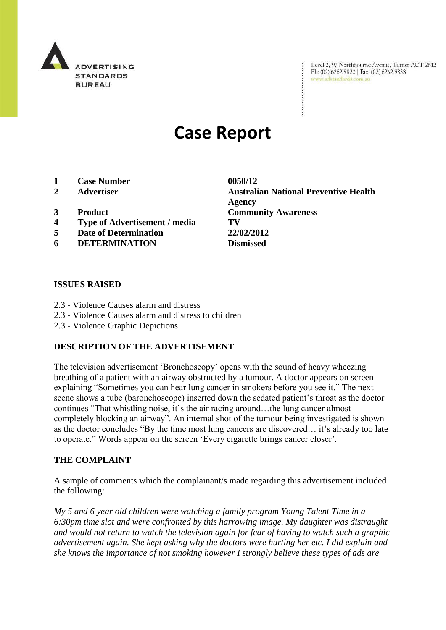

Level 2, 97 Northbourne Avenue, Turner ACT 2612 Ph: (02) 6262 9822 | Fax: (02) 6262 9833 www.adstandards.com.au

# **Case Report**

- **1 Case Number 0050/12**
- 
- 
- **4 Type of Advertisement / media TV**
- **5 Date of Determination 22/02/2012**
- **6 DETERMINATION Dismissed**

**2 Advertiser Australian National Preventive Health Agency 3 Product Community Awareness**

#### **ISSUES RAISED**

- 2.3 Violence Causes alarm and distress
- 2.3 Violence Causes alarm and distress to children
- 2.3 Violence Graphic Depictions

### **DESCRIPTION OF THE ADVERTISEMENT**

The television advertisement "Bronchoscopy" opens with the sound of heavy wheezing breathing of a patient with an airway obstructed by a tumour. A doctor appears on screen explaining "Sometimes you can hear lung cancer in smokers before you see it." The next scene shows a tube (baronchoscope) inserted down the sedated patient's throat as the doctor continues "That whistling noise, it's the air racing around...the lung cancer almost completely blocking an airway". An internal shot of the tumour being investigated is shown as the doctor concludes "By the time most lung cancers are discovered... it's already too late to operate." Words appear on the screen "Every cigarette brings cancer closer".

#### **THE COMPLAINT**

A sample of comments which the complainant/s made regarding this advertisement included the following:

*My 5 and 6 year old children were watching a family program Young Talent Time in a 6:30pm time slot and were confronted by this harrowing image. My daughter was distraught and would not return to watch the television again for fear of having to watch such a graphic advertisement again. She kept asking why the doctors were hurting her etc. I did explain and she knows the importance of not smoking however I strongly believe these types of ads are*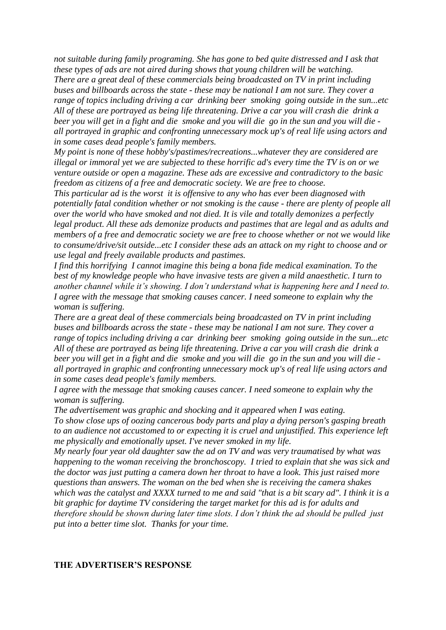*not suitable during family programing. She has gone to bed quite distressed and I ask that these types of ads are not aired during shows that young children will be watching. There are a great deal of these commercials being broadcasted on TV in print including buses and billboards across the state - these may be national I am not sure. They cover a range of topics including driving a car drinking beer smoking going outside in the sun...etc All of these are portrayed as being life threatening. Drive a car you will crash die drink a beer you will get in a fight and die smoke and you will die go in the sun and you will die all portrayed in graphic and confronting unnecessary mock up's of real life using actors and in some cases dead people's family members.*

*My point is none of these hobby's/pastimes/recreations...whatever they are considered are illegal or immoral yet we are subjected to these horrific ad's every time the TV is on or we venture outside or open a magazine. These ads are excessive and contradictory to the basic freedom as citizens of a free and democratic society. We are free to choose.*

*This particular ad is the worst it is offensive to any who has ever been diagnosed with potentially fatal condition whether or not smoking is the cause - there are plenty of people all over the world who have smoked and not died. It is vile and totally demonizes a perfectly legal product. All these ads demonize products and pastimes that are legal and as adults and members of a free and democratic society we are free to choose whether or not we would like to consume/drive/sit outside...etc I consider these ads an attack on my right to choose and or use legal and freely available products and pastimes.*

*I find this horrifying I cannot imagine this being a bona fide medical examination. To the best of my knowledge people who have invasive tests are given a mild anaesthetic. I turn to another channel while it's showing. I don't understand what is happening here and I need to. I agree with the message that smoking causes cancer. I need someone to explain why the woman is suffering.*

*There are a great deal of these commercials being broadcasted on TV in print including buses and billboards across the state - these may be national I am not sure. They cover a range of topics including driving a car drinking beer smoking going outside in the sun...etc All of these are portrayed as being life threatening. Drive a car you will crash die drink a beer you will get in a fight and die smoke and you will die go in the sun and you will die all portrayed in graphic and confronting unnecessary mock up's of real life using actors and in some cases dead people's family members.*

*I agree with the message that smoking causes cancer. I need someone to explain why the woman is suffering.*

*The advertisement was graphic and shocking and it appeared when I was eating.*

*To show close ups of oozing cancerous body parts and play a dying person's gasping breath to an audience not accustomed to or expecting it is cruel and unjustified. This experience left me physically and emotionally upset. I've never smoked in my life.*

*My nearly four year old daughter saw the ad on TV and was very traumatised by what was happening to the woman receiving the bronchoscopy. I tried to explain that she was sick and the doctor was just putting a camera down her throat to have a look. This just raised more questions than answers. The woman on the bed when she is receiving the camera shakes which was the catalyst and XXXX turned to me and said "that is a bit scary ad". I think it is a bit graphic for daytime TV considering the target market for this ad is for adults and therefore should be shown during later time slots. I don't think the ad should be pulled just put into a better time slot. Thanks for your time.*

#### **THE ADVERTISER'S RESPONSE**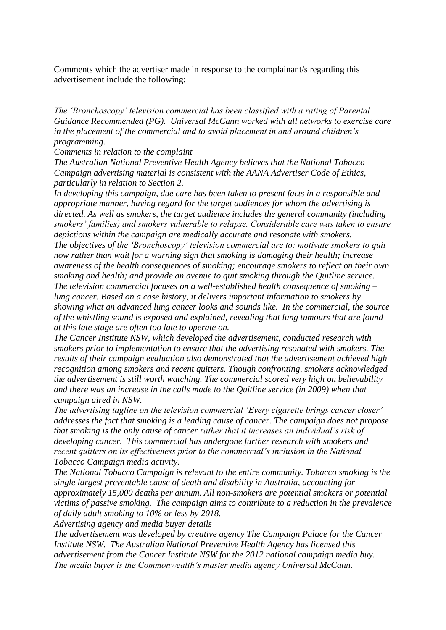Comments which the advertiser made in response to the complainant/s regarding this advertisement include the following:

*The 'Bronchoscopy' television commercial has been classified with a rating of Parental Guidance Recommended (PG). Universal McCann worked with all networks to exercise care in the placement of the commercial and to avoid placement in and around children's programming.*

*Comments in relation to the complaint*

*The Australian National Preventive Health Agency believes that the National Tobacco Campaign advertising material is consistent with the AANA Advertiser Code of Ethics, particularly in relation to Section 2.*

*In developing this campaign, due care has been taken to present facts in a responsible and appropriate manner, having regard for the target audiences for whom the advertising is directed. As well as smokers, the target audience includes the general community (including smokers' families) and smokers vulnerable to relapse. Considerable care was taken to ensure depictions within the campaign are medically accurate and resonate with smokers. The objectives of the 'Bronchoscopy' television commercial are to: motivate smokers to quit now rather than wait for a warning sign that smoking is damaging their health; increase awareness of the health consequences of smoking; encourage smokers to reflect on their own smoking and health; and provide an avenue to quit smoking through the Quitline service. The television commercial focuses on a well-established health consequence of smoking – lung cancer. Based on a case history, it delivers important information to smokers by showing what an advanced lung cancer looks and sounds like. In the commercial, the source of the whistling sound is exposed and explained, revealing that lung tumours that are found at this late stage are often too late to operate on.* 

*The Cancer Institute NSW, which developed the advertisement, conducted research with smokers prior to implementation to ensure that the advertising resonated with smokers. The results of their campaign evaluation also demonstrated that the advertisement achieved high recognition among smokers and recent quitters. Though confronting, smokers acknowledged the advertisement is still worth watching. The commercial scored very high on believability and there was an increase in the calls made to the Quitline service (in 2009) when that campaign aired in NSW.*

*The advertising tagline on the television commercial 'Every cigarette brings cancer closer' addresses the fact that smoking is a leading cause of cancer. The campaign does not propose that smoking is the only cause of cancer rather that it increases an individual's risk of developing cancer. This commercial has undergone further research with smokers and recent quitters on its effectiveness prior to the commercial's inclusion in the National Tobacco Campaign media activity.* 

*The National Tobacco Campaign is relevant to the entire community. Tobacco smoking is the single largest preventable cause of death and disability in Australia, accounting for approximately 15,000 deaths per annum. All non-smokers are potential smokers or potential victims of passive smoking. The campaign aims to contribute to a reduction in the prevalence of daily adult smoking to 10% or less by 2018.*

*Advertising agency and media buyer details*

*The advertisement was developed by creative agency The Campaign Palace for the Cancer Institute NSW. The Australian National Preventive Health Agency has licensed this advertisement from the Cancer Institute NSW for the 2012 national campaign media buy. The media buyer is the Commonwealth's master media agency Universal McCann.*